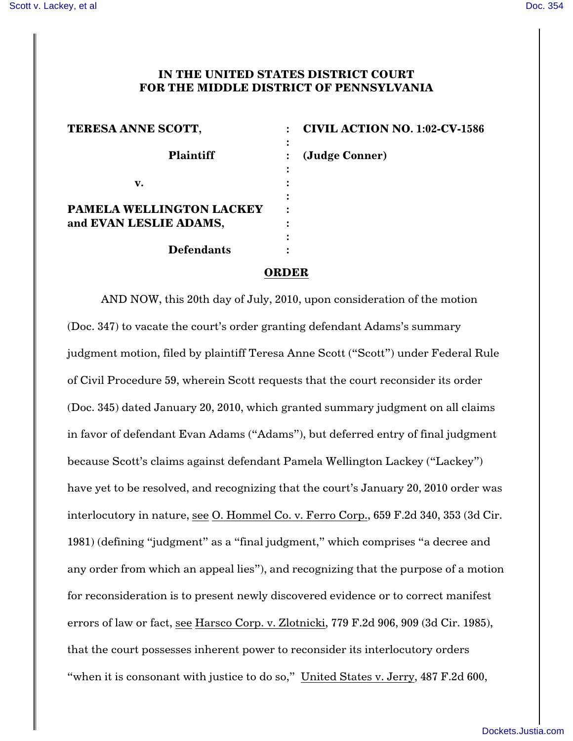## **IN THE UNITED STATES DISTRICT COURT FOR THE MIDDLE DISTRICT OF PENNSYLVANIA**

| TERESA ANNE SCOTT,              |   | <b>CIVIL ACTION NO. 1:02-CV-1586</b> |
|---------------------------------|---|--------------------------------------|
| <b>Plaintiff</b>                | ٠ | (Judge Conner)                       |
| v.                              | ٠ |                                      |
| <b>PAMELA WELLINGTON LACKEY</b> |   |                                      |
| and EVAN LESLIE ADAMS,          | ٠ |                                      |
| <b>Defendants</b>               |   |                                      |

## **ORDER**

AND NOW, this 20th day of July, 2010, upon consideration of the motion (Doc. 347) to vacate the court's order granting defendant Adams's summary judgment motion, filed by plaintiff Teresa Anne Scott ("Scott") under Federal Rule of Civil Procedure 59, wherein Scott requests that the court reconsider its order (Doc. 345) dated January 20, 2010, which granted summary judgment on all claims in favor of defendant Evan Adams ("Adams"), but deferred entry of final judgment because Scott's claims against defendant Pamela Wellington Lackey ("Lackey") have yet to be resolved, and recognizing that the court's January 20, 2010 order was interlocutory in nature, see O. Hommel Co. v. Ferro Corp., 659 F.2d 340, 353 (3d Cir. 1981) (defining "judgment" as a "final judgment," which comprises "a decree and any order from which an appeal lies"), and recognizing that the purpose of a motion for reconsideration is to present newly discovered evidence or to correct manifest errors of law or fact, see Harsco Corp. v. Zlotnicki, 779 F.2d 906, 909 (3d Cir. 1985), that the court possesses inherent power to reconsider its interlocutory orders "when it is consonant with justice to do so," United States v. Jerry, 487 F.2d 600,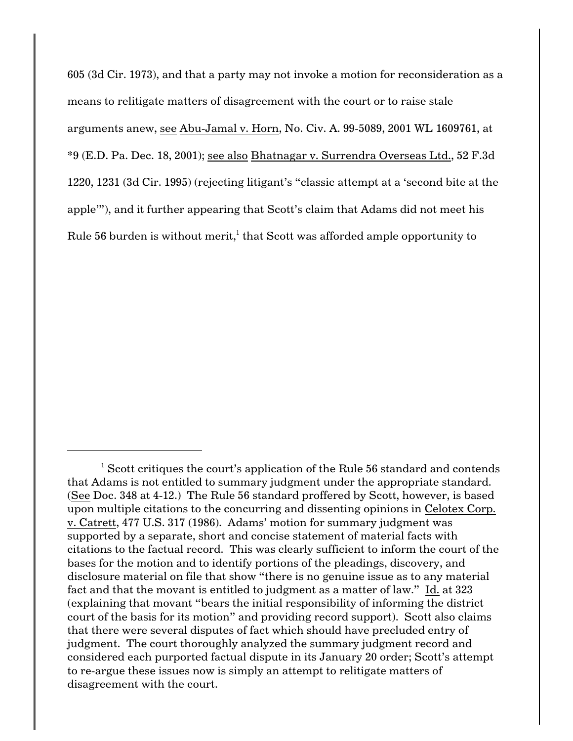605 (3d Cir. 1973), and that a party may not invoke a motion for reconsideration as a means to relitigate matters of disagreement with the court or to raise stale arguments anew, see Abu-Jamal v. Horn, No. Civ. A. 99-5089, 2001 WL 1609761, at \*9 (E.D. Pa. Dec. 18, 2001); see also Bhatnagar v. Surrendra Overseas Ltd., 52 F.3d 1220, 1231 (3d Cir. 1995) (rejecting litigant's "classic attempt at a 'second bite at the apple'"), and it further appearing that Scott's claim that Adams did not meet his Rule 56 burden is without merit,<sup>1</sup> that Scott was afforded ample opportunity to

 $<sup>1</sup>$  Scott critiques the court's application of the Rule 56 standard and contends</sup> that Adams is not entitled to summary judgment under the appropriate standard. (See Doc. 348 at 4-12.) The Rule 56 standard proffered by Scott, however, is based upon multiple citations to the concurring and dissenting opinions in Celotex Corp. v. Catrett, 477 U.S. 317 (1986). Adams' motion for summary judgment was supported by a separate, short and concise statement of material facts with citations to the factual record. This was clearly sufficient to inform the court of the bases for the motion and to identify portions of the pleadings, discovery, and disclosure material on file that show "there is no genuine issue as to any material fact and that the movant is entitled to judgment as a matter of law." Id. at 323 (explaining that movant "bears the initial responsibility of informing the district court of the basis for its motion" and providing record support). Scott also claims that there were several disputes of fact which should have precluded entry of judgment. The court thoroughly analyzed the summary judgment record and considered each purported factual dispute in its January 20 order; Scott's attempt to re-argue these issues now is simply an attempt to relitigate matters of disagreement with the court.